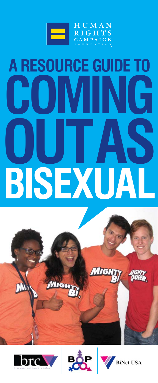

# **A RESOURCE GUIDE TO COMING OUT AS BISEXUAL**







**MIGHT** 

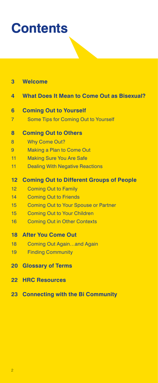## **Contents**

| 3 |  |  | <b>Welcome</b> |  |
|---|--|--|----------------|--|
|   |  |  |                |  |

- **4 [What Does It Mean to Come Out as Bisexual?](#page-3-0)**
- **6 [Coming Out to Yourself](#page-5-0)**
- 7 [Some Tips for Coming Out to Yourself](#page-6-0)

#### **8 [Coming Out to Others](#page-7-0)**

- [8 Why Come Out?](#page-7-0)
- [9 Making a Plan to Come Out](#page-8-0)
- 11 [Making Sure You Are Safe](#page-10-0)
- [11 Dealing With Negative Reactions](#page-10-0)

#### **12 [Coming Out to Different Groups of People](#page-11-0)**

- [12 Coming Out to Family](#page-11-0)
- [14 Coming Out to Friends](#page-13-0)
- [15 Coming Out to Your Spouse or Partner](#page-14-0)
- [15 Coming Out to Your Children](#page-14-0)
- [16 Coming Out in Other Contexts](#page-15-0)

#### **18 [After You Come Out](#page-17-0)**

- 18 Coming Out Again...and Again
- [19 Finding Community](#page-18-0)
- **20 [Glossary of Terms](#page-19-0)**
- **22 [HRC Resources](#page-21-0)**
- **23 [Connecting with the Bi Community](#page-22-0)**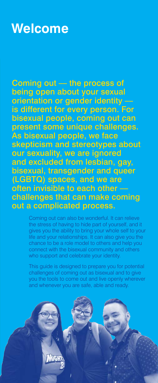## <span id="page-2-0"></span>**Welcome**

Coming out -- the process of being open about your sexual orientation or gender identity –– is different for every person. For bisexual people, coming out can present some unique challenges. As bisexual people, we face skepticism and stereotypes about our sexuality, we are ignored and excluded from lesbian, gay, bisexual, transgender and queer (LGBTQ) spaces, and we are often invisible to each other –– challenges that can make coming out a complicated process.

> Coming out can also be wonderful. It can relieve the stress of having to hide part of yourself, and it gives you the ability to bring your whole self to your life and your relationships. It can also give you the chance to be a role model to others and help you connect with the bisexual community and others who support and celebrate your identity.

> This guide is designed to prepare you for potential challenges of coming out as bisexual and to give you the tools to come out and live openly wherever and whenever you are safe, able and ready.

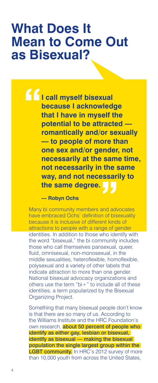## <span id="page-3-0"></span>**What Does It Mean to Come Out as Bisexual?**

**I call myself bisexual because I acknowledge that I have in myself the potential to be attracted –– romantically and/or sexually –– to people of more than one sex and/or gender, not necessarily at the same time, not necessarily in the same way, and not necessarily to the same degree.**

#### **— Robyn Ochs**

Many bi community members and advocates have embraced Ochs' definition of bisexuality because it is inclusive of different kinds of attractions to people with a range of gender identities. In addition to those who identify with the word "bisexual," the bi community includes those who call themselves pansexual, queer, fluid, omnisexual, non-monosexual, in the middle sexualities, heteroflexible, homoflexible, polysexual and a variety of other labels that indicate attraction to more than one gender. National bisexual advocacy organizations and others use the term "bi $+$ " to include all of these identities, a term popularized by the Bisexual Organizing Project.

Something that many bisexual people don't know is that there are so many of us. According to the Williams Institute and the HRC Foundation's own research, **about 50 percent of people who** identify as either gay, lesbian or bisexual, identify as bisexual - making the bisexual population the single largest group within the LGBT community. In HRC's 2012 survey of more than 10,000 youth from across the United States,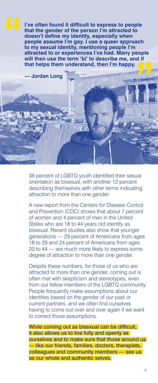**I've often found it difficult to express to people that the gender of the person I'm attracted to doesn't define my identity, especially when people assume I'm gay. I use a queer approach to my sexual identity, mentioning people I'm attracted to or experiences I've had. Many people will then use the term 'bi' to describe me, and if that helps them understand, then I'm happy.**



38 percent of LGBTQ youth identified their sexual orientation as bisexual, with another 12 percent describing themselves with other terms indicating attraction to more than one gender.

A new report from the Centers for Disease Control and Prevention (CDC) shows that about 7 percent of women and 4 percent of men in the United States who are 18 to 44 years old identify as bisexual. Recent studies also show that younger generations –– 29 percent of Americans from ages 18 to 29 and 24 percent of Americans from ages 20 to 44 –– are much more likely to express some degree of attraction to more than one gender.

Despite these numbers, for those of us who are attracted to more than one gender, coming out is often met with skepticism and stereotypes, even from our fellow members of the LGBTQ community. People frequently make assumptions about our identities based on the gender of our past or current partners, and we often find ourselves having to come out over and over again if we want to correct those assumptions.

While coming out as bisexual can be difficult, it also allows us to live fully and openly as ourselves and to make sure that those around us — like our friends, families, doctors, therapists, colleagues and community members — see us as our whole and authentic selves.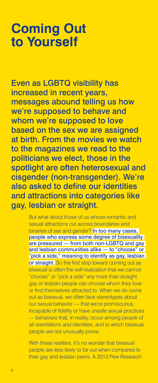## <span id="page-5-0"></span>**Coming Out to Yourself**

Even as LGBTQ visibility has increased in recent years, messages abound telling us how we're supposed to behave and whom we're supposed to love based on the sex we are assigned at birth. From the movies we watch to the magazines we read to the politicians we elect, those in the spotlight are often heterosexual and cisgender (non-transgender). We're also asked to define our identities and attractions into categories like gay, lesbian or straight.

> But what about those of us whose romantic and sexual attractions cut across boundaries and binaries of sex and gender? In too many cases, people who express some degree of bisexuality are pressured — from both non-LGBTQ and gay and lesbian communities alike –– to "choose" or "pick a side," meaning to identify as gay, lesbian or straight. So the first step toward coming out as bisexual is often the self-realization that we cannot "choose" or "pick a side" any more than straight, gay or lesbian people can choose whom they love or find themselves attracted to. When we do come out as bisexual, we often face stereotypes about our sexual behavior -- that we're promiscuous, incapable of fidelity or have unsafe sexual practices –– behaviors that, in reality, occur among people of all orientations and identities, and to which bisexual people are not unusually prone.

With these realities, it's no wonder that bisexual people are less likely to be out when compared to their gay and lesbian peers. A 2013 Pew Research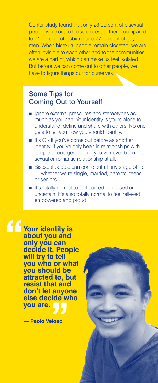<span id="page-6-0"></span>Center study found that only 28 percent of bisexual people were out to those closest to them, compared to 71 percent of lesbians and 77 percent of gay men. When bisexual people remain closeted, we are often invisible to each other and to the communities we are a part of, which can make us feel isolated. But before we can come out to other people, we have to figure things out for ourselves.

#### Some Tips for Coming Out to Yourself

- Ignore external pressures and stereotypes as much as you can. Your identity is yours alone to understand, define and share with others. No one gets to tell you how you should identify.
- It's OK if you've come out before as another identity, if you've only been in relationships with people of one gender or if you've never been in a sexual or romantic relationship at all.
- Bisexual people can come out at any stage of life –– whether we're single, married, parents, teens or seniors.
- It's totally normal to feel scared, confused or uncertain. It's also totally normal to feel relieved, empowered and proud.

**Your identity is about you and only you can decide it. People will try to tell you who or what you should be attracted to, but resist that and don't let anyone else decide who you are.**

**— Paolo Veloso**

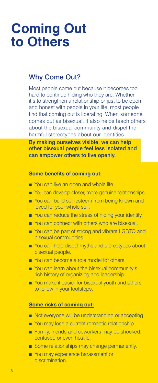## <span id="page-7-0"></span>**Coming Out to Others**

#### Why Come Out?

Most people come out because it becomes too hard to continue hiding who they are. Whether it's to strengthen a relationship or just to be open and honest with people in your life, most people find that coming out is liberating. When someone comes out as bisexual, it also helps teach others about the bisexual community and dispel the harmful stereotypes about our identities.

By making ourselves visible, we can help other bisexual people feel less isolated and can empower others to live openly.

#### **Some benefits of coming out:**

- You can live an open and whole life.
- You can develop closer, more genuine relationships.
- You can build self-esteem from being known and loved for your whole self.
- You can reduce the stress of hiding your identity.
- You can connect with others who are bisexual.
- You can be part of strong and vibrant LGBTQ and bisexual communities.
- You can help dispel myths and stereotypes about bisexual people.
- You can become a role model for others.
- You can learn about the bisexual community's rich history of organizing and leadership.
- You make it easier for bisexual youth and others to follow in your footsteps.

#### **Some risks of coming out:**

- Not everyone will be understanding or accepting.
- You may lose a current romantic relationship.
- Family, friends and coworkers may be shocked, confused or even hostile.
- Some relationships may change permanently.
- You may experience harassment or discrimination.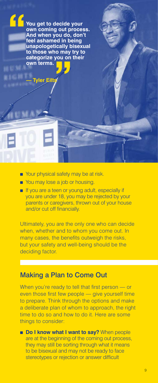<span id="page-8-0"></span>**You get to decide your own coming out process. And when you do, don't feel ashamed in being unapologetically bisexual to those who may try to categorize you on their own terms.**

**Tyler Eilt** 

- Your physical safety may be at risk.
- You may lose a job or housing.
- If you are a teen or young adult, especially if you are under 18, you may be rejected by your parents or caregivers, thrown out of your house and/or cut off financially.

Ultimately, you are the only one who can decide when, whether and to whom you come out. In many cases, the benefits outweigh the risks, but your safety and well-being should be the deciding factor.

#### Making a Plan to Come Out

When you're ready to tell that first person — or even those first few people — give yourself time to prepare. Think through the options and make a deliberate plan of whom to approach, the right time to do so and how to do it. Here are some things to consider:

■ **Do I know what I want to say?** When people are at the beginning of the coming out process, they may still be sorting through what it means to be bisexual and may not be ready to face stereotypes or rejection or answer difficult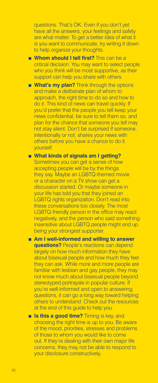questions. That's OK. Even if you don't yet have all the answers, your feelings and safety are what matter. To get a better idea of what it is you want to communicate, try writing it down to help organize your thoughts.

- Whom should I tell first? This can be a critical decision. You may want to select people who you think will be most supportive, as their support can help you share with others.
- **What's my plan?** Think through the options and make a deliberate plan of whom to approach, the right time to do so and how to do it. This kind of news can travel quickly. If you'd prefer that the people you tell keep your news confidential, be sure to tell them so, and plan for the chance that someone you tell may not stay silent. Don't be surprised if someone, intentionally or not, shares your news with others before you have a chance to do it yourself.
- What kinds of signals am I getting? Sometimes you can get a sense of how accepting people will be by the things they say. Maybe an LGBTQ-themed movie or a character on a TV show can get a discussion started. Or maybe someone in your life has told you that they joined an LGBTQ rights organization. Don't read into these conversations too closely. The most LGBTQ-friendly person in the office may react negatively, and the person who said something insensitive about LGBTQ people might end up being your strongest supporter.
- Am I well-informed and willing to answer **questions?** People's reactions can depend largely on how much information they have about bisexual people and how much they feel they can ask. While more and more people are familiar with lesbian and gay people, they may not know much about bisexual people beyond stereotyped portrayals in popular culture. If you're well-informed and open to answering questions, it can go a long way toward helping others to understand. Check out the resources at the end of this guide to help you.
- **Is this a good time?** Timing is key, and choosing the right time is up to you. Be aware of the mood, priorities, stresses and problems of those to whom you would like to come out. If they're dealing with their own major life concerns, they may not be able to respond to your disclosure constructively.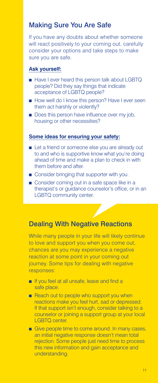#### <span id="page-10-0"></span>Making Sure You Are Safe

If you have any doubts about whether someone will react positively to your coming out, carefully consider your options and take steps to make sure you are safe.

#### **Ask yourself:**

- Have I ever heard this person talk about LGBTQ people? Did they say things that indicate acceptance of LGBTQ people?
- How well do I know this person? Have I ever seen them act harshly or violently?
- Does this person have influence over my job, housing or other necessities?

#### **Some ideas for ensuring your safety:**

- Let a friend or someone else you are already out to and who is supportive know what you're doing ahead of time and make a plan to check in with them before and after.
- Consider bringing that supporter with you.
- Consider coming out in a safe space like in a therapist's or guidance counselor's office, or in an LGBTQ community center.

### Dealing With Negative Reactions

While many people in your life will likely continue to love and support you when you come out, chances are you may experience a negative reaction at some point in your coming out journey. Some tips for dealing with negative responses:

- If you feel at all unsafe, leave and find a safe place.
- Reach out to people who support you when reactions make you feel hurt, sad or depressed. If that support isn't enough, consider talking to a counselor or joining a support group at your local LGBTQ center.
- Give people time to come around. In many cases, an initial negative response doesn't mean total rejection. Some people just need time to process this new information and gain acceptance and understanding.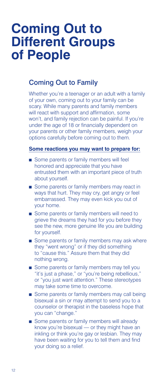## <span id="page-11-0"></span>**Coming Out to Different Groups of People**

#### Coming Out to Family

Whether you're a teenager or an adult with a family of your own, coming out to your family can be scary. While many parents and family members will react with support and affirmation, some won't, and family rejection can be painful. If you're under the age of 18 or financially dependent on your parents or other family members, weigh your options carefully before coming out to them.

#### **Some reactions you may want to prepare for:**

- Some parents or family members will feel honored and appreciate that you have entrusted them with an important piece of truth about yourself.
- Some parents or family members may react in ways that hurt. They may cry, get angry or feel embarrassed. They may even kick you out of your home.
- Some parents or family members will need to grieve the dreams they had for you before they see the new, more genuine life you are building for yourself.
- Some parents or family members may ask where they "went wrong" or if they did something to "cause this." Assure them that they did nothing wrong.
- Some parents or family members may tell you "it's just a phase," or "you're being rebellious," or "you just want attention." These stereotypes may take some time to overcome.
- Some parents or family members may call being bisexual a sin or may attempt to send you to a counselor or therapist in the baseless hope that you can "change."
- Some parents or family members will already know you're bisexual — or they might have an inkling or think you're gay or lesbian. They may have been waiting for you to tell them and find your doing so a relief.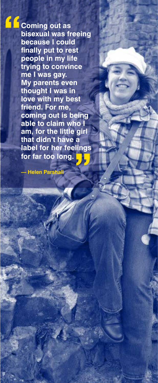**Coming out as bisexual was freeing because I could finally put to rest people in my life trying to convince me I was gay. My parents even thought I was in love with my best friend. For me, coming out is being able to claim who I am, for the little girl that didn't have a label for her feelings for far too long.**

**— Helen Parshall**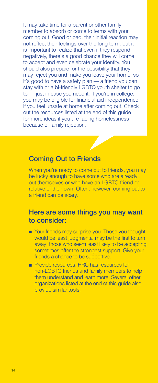<span id="page-13-0"></span>It may take time for a parent or other family member to absorb or come to terms with your coming out. Good or bad, their initial reaction may not reflect their feelings over the long term, but it is important to realize that even if they respond negatively, there's a good chance they will come to accept and even celebrate your identity. You should also prepare for the possibility that they may reject you and make you leave your home, so it's good to have a safety plan –– a friend you can stay with or a bi-friendly LGBTQ youth shelter to go to — just in case you need it. If you're in college, you may be eligible for financial aid independence if you feel unsafe at home after coming out. Check out the resources listed at the end of this guide for more ideas if you are facing homelessness because of family rejection.



#### Coming Out to Friends

When you're ready to come out to friends, you may be lucky enough to have some who are already out themselves or who have an LGBTQ friend or relative of their own. Often, however, coming out to a friend can be scary.

#### Here are some things you may want to consider:

- Your friends may surprise you. Those you thought would be least judgmental may be the first to turn away; those who seem least likely to be accepting sometimes offer the strongest support. Give your friends a chance to be supportive.
- Provide resources. HRC has resources for non-LGBTQ friends and family members to help them understand and learn more. Several other organizations listed at the end of this guide also provide similar tools.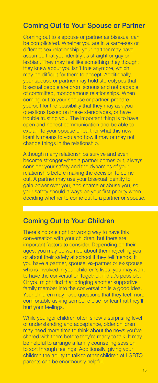### <span id="page-14-0"></span>Coming Out to Your Spouse or Partner

Coming out to a spouse or partner as bisexual can be complicated. Whether you are in a same-sex or different-sex relationship, your partner may have assumed that you identify as straight or gay or lesbian. They may feel like something they thought they knew about you isn't true anymore, which may be difficult for them to accept. Additionally, your spouse or partner may hold stereotypes that bisexual people are promiscuous and not capable of committed, monogamous relationships. When coming out to your spouse or partner, prepare yourself for the possibility that they may ask you questions based on these stereotypes, or have trouble trusting you. The important thing is to have open and honest communication and be able to explain to your spouse or partner what this new identity means to you and how it may or may not change things in the relationship.

Although many relationships survive and even become stronger when a partner comes out, always consider your safety and the dynamics of your relationship before making the decision to come out. A partner may use your bisexual identity to gain power over you, and shame or abuse you, so your safety should always be your first priority when deciding whether to come out to a partner or spouse.

#### Coming Out to Your Children

There's no one right or wrong way to have this conversation with your children, but there are important factors to consider. Depending on their ages, you may be worried about them rejecting you or about their safety at school if they tell friends. If you have a partner, spouse, ex-partner or ex-spouse who is involved in your children's lives, you may want to have the conversation together, if that's possible. Or you might find that bringing another supportive family member into the conversation is a good idea. Your children may have questions that they feel more comfortable asking someone else for fear that they'll hurt your feelings.

While younger children often show a surprising level of understanding and acceptance, older children may need more time to think about the news you've shared with them before they're ready to talk. It may be helpful to arrange a family counseling session to sort through feelings. Additionally, giving your children the ability to talk to other children of LGBTQ parents can be enormously helpful.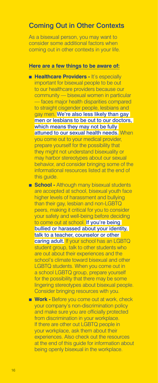#### <span id="page-15-0"></span>Coming Out in Other Contexts

As a bisexual person, you may want to consider some additional factors when coming out in other contexts in your life.

#### **Here are a few things to be aware of:**

- Healthcare Providers It's especially important for bisexual people to be out to our healthcare providers because our community –– bisexual women in particular –– faces major health disparities compared to straight cisgender people, lesbians and gay men. We're also less likely than gay men or lesbians to be out to our doctors, which means they may not be fully attuned to our sexual health needs. When you come out to your medical provider, prepare yourself for the possibility that they might not understand bisexuality or may harbor stereotypes about our sexual behavior, and consider bringing some of the informational resources listed at the end of this guide.
- **School Although many bisexual students** are accepted at school, bisexual youth face higher levels of harassment and bullying than their gay, lesbian and non-LGBTQ peers, making it critical for you to consider your safety and well-being before deciding to come out at school. If you're being bullied or harassed about your identity, talk to a teacher, counselor or other caring adult. If your school has an LGBTQ student group, talk to other students who are out about their experiences and the school's climate toward bisexual and other LGBTQ students. When you come out in a school LGBTQ group, prepare yourself for the possibility that there may be some lingering stereotypes about bisexual people. Consider bringing resources with you.
- **Work -** Before you come out at work, check your company's non-discrimination policy and make sure you are officially protected from discrimination in your workplace. If there are other out LGBTQ people in your workplace, ask them about their experiences. Also check out the resources at the end of this guide for information about being openly bisexual in the workplace.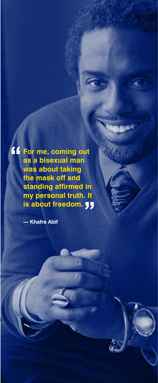**For me, coming out as a bisexual man was about taking the mask off and standing affirmed in my personal truth. It is about freedom.**

W

 $\gamma$ l

**— Khafre Abif**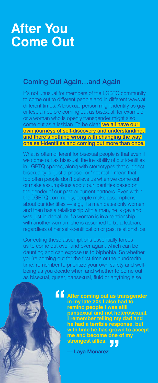## <span id="page-17-0"></span>**After You Come Out**

#### Coming Out Again…and Again

It's not unusual for members of the LGBTQ community to come out to different people and in different ways at different times. A bisexual person might identify as gay or lesbian before coming out as bisexual, for example, or a woman who is openly transgender might also come out as a lesbian. To be clear, we all have our own journeys of self-discovery and understanding, and there's nothing wrong with changing the way one self-identifies and coming out more than once.

What is often different for bisexual people is that even if we come out as bisexual, the invisibility of our identities in LGBTQ spaces, along with stereotypes that suggest bisexuality is "just a phase" or "not real," mean that too often people don't believe us when we come out or make assumptions about our identities based on the gender of our past or current partners. Even within the LGBTQ community, people make assumptions about our identities  $-$  e.g., if a man dates only women and then has a relationship with a man, he is gay and was just in denial, or if a woman is in a relationship with another woman, she is assumed to be a lesbian, regardless of her self-identification or past relationships.

Correcting these assumptions essentially forces us to come out over and over again, which can be daunting and can expose us to biphobia. So whether you're coming out for the first time or the hundredth time, remember to prioritize your own safety and wellbeing as you decide when and whether to come out as bisexual, queer, pansexual, fluid or anything else.



**After coming out as transgender in my late 20s I also had to remind people I was still pansexual and not heterosexual. I remember telling my dad and he had a terrible response, but with time he has grown to accept me and become one of my strongest allies.**

**— Laya Monarez**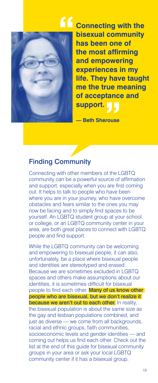<span id="page-18-0"></span>

**Connecting with the bisexual community has been one of the most affirming and empowering experiences in my life. They have taught me the true meaning of acceptance and support.**

**— Beth Sherouse**

### Finding Community

Connecting with other members of the LGBTQ community can be a powerful source of affirmation and support, especially when you are first coming out. It helps to talk to people who have been where you are in your journey, who have overcome obstacles and fears similar to the ones you may now be facing and to simply find spaces to be yourself. An LGBTQ student group at your school or college, or an LGBTQ community center in your area, are both great places to connect with LGBTQ people and find support.

While the LGBTQ community can be welcoming and empowering to bisexual people, it can also, unfortunately, be a place where bisexual people and identities are stereotyped and erased. Because we are sometimes excluded in LGBTQ spaces and others make assumptions about our identities, it is sometimes difficult for bisexual people to find each other. Many of us know other people who are bisexual, but we don't realize it because we aren't out to each other. In reality, the bisexual population is about the same size as the gay and lesbian populations combined, and just as diverse - we come from all backgrounds, racial and ethnic groups, faith communities, socioeconomic levels and gender identities - and coming out helps us find each other. Check out the list at the end of this guide for bisexual community groups in your area or ask your local LGBTQ community center if it has a bisexual group.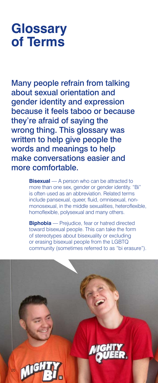## <span id="page-19-0"></span>**Glossary of Terms**

Many people refrain from talking about sexual orientation and gender identity and expression because it feels taboo or because they're afraid of saying the wrong thing. This glossary was written to help give people the words and meanings to help make conversations easier and more comfortable.

> **Bisexual** — A person who can be attracted to more than one sex, gender or gender identity. "Bi" is often used as an abbreviation. Related terms include pansexual, queer, fluid, omnisexual, nonmonosexual, in the middle sexualities, heteroflexible, homoflexible, polysexual and many others.

> **Biphobia** — Prejudice, fear or hatred directed toward bisexual people. This can take the form of stereotypes about bisexuality or excluding or erasing bisexual people from the LGBTQ community (sometimes referred to as "bi erasure").

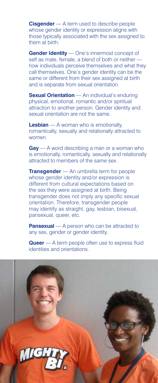**Cisgender** — A term used to describe people whose gender identity or expression aligns with those typically associated with the sex assigned to them at birth.

**Gender Identity** — One's innermost concept of self as male, female, a blend of both or neither how individuals perceive themselves and what they call themselves. One's gender identity can be the same or different from their sex assigned at birth and is separate from sexual orientation.

**Sexual Orientation** — An individual's enduring physical, emotional, romantic and/or spiritual attraction to another person. Gender identity and sexual orientation are not the same.

**Lesbian** — A woman who is emotionally, romantically, sexually and relationally attracted to women.

**Gay** — A word describing a man or a woman who is emotionally, romantically, sexually and relationally attracted to members of the same sex.

**Transgender** — An umbrella term for people whose gender identity and/or expression is different from cultural expectations based on the sex they were assigned at birth. Being transgender does not imply any specific sexual orientation. Therefore, transgender people may identify as straight, gay, lesbian, bisexual, pansexual, queer, etc.

**Pansexual** — A person who can be attracted to any sex, gender or gender identity.

**Queer** — A term people often use to express fluid identities and orientations.

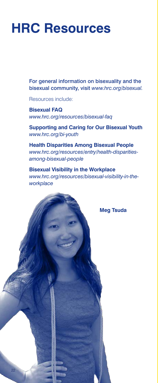## <span id="page-21-0"></span>**HRC Resources**

For general information on bisexuality and the bisexual community, visit *www.hrc.org/bisexual.*

Resources include:

22

**Bisexual FAQ** *www.hrc.org/resources/bisexual-faq*

**Supporting and Caring for Our Bisexual Youth** *www.hrc.org/bi-youth*

**Health Disparities Among Bisexual People** *www.hrc.org/resources/entry/health-disparitiesamong-bisexual-people*

**Bisexual Visibility in the Workplace** *www.hrc.org/resources/bisexual-visibility-in-theworkplace*

**Meg Tsuda**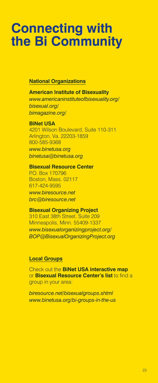## <span id="page-22-0"></span>**Connecting with the Bi Community**

#### **National Organizations**

**American Institute of Bisexuality** *www.americaninstituteofbisexuality.org/ bisexual.org/ bimagazine.org/*

**BiNet USA** 4201 Wilson Boulevard, Suite 110-311 Arlington, Va. 22203-1859 800-585-9368 *www.binetusa.org*

*binetusa@binetusa.org*

**Bisexual Resource Center** P.O. Box 170796 Boston, Mass. 02117 617-424-9595 *www.biresource.net brc@biresource.net*

**Bisexual Organizing Project** 310 East 38th Street, Suite 209 Minneapolis, Minn. 55409-1337 *www.bisexualorganizingproject.org/ BOP@BisexualOrganizingProject.org*

#### **Local Groups**

Check out the **BiNet USA interactive map** or **Bisexual Resource Center's list** to find a group in your area:

*biresource.net/bisexualgroups.shtml www.binetusa.org/bi-groups-in-the-us*